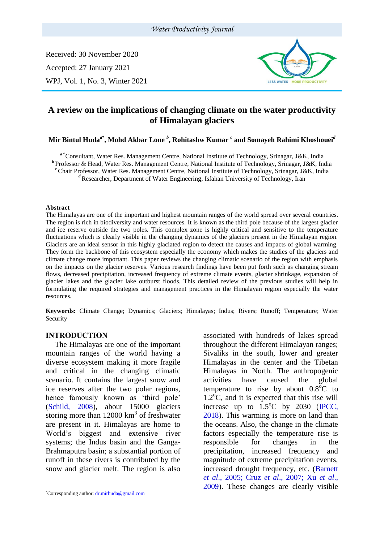#### *Water Productivity Journal*

Received: 30 November 2020 Accepted: 27 January 2021 WPJ, Vol. 1, No. 3, Winter 2021



# **A review on the implications of changing climate on the water productivity of Himalayan glaciers**

#### **Mir Bintul Huda***<sup>a</sup>***\* , Mohd Akbar Lone** *<sup>b</sup>* **, Rohitashw Kumar** *<sup>c</sup>* **and Somayeh Rahimi Khoshouei***<sup>d</sup>*

*<sup>a</sup>***\*** Consultant, Water Res. Management Centre, National Institute of Technology, Srinagar, J&K, India *b* Professor & Head, Water Res. Management Centre, National Institute of Technology, Srinagar, J&K, India *<sup>c</sup>*Chair Professor, Water Res. Management Centre, National Institute of Technology, Srinagar, J&K, India <sup>d</sup> Researcher, Department of Water Engineering, Isfahan University of Technology, Iran

#### **Abstract**

The Himalayas are one of the important and highest mountain ranges of the world spread over several countries. The region is rich in biodiversity and water resources. It is known as the third pole because of the largest glacier and ice reserve outside the two poles. This complex zone is highly critical and sensitive to the temperature fluctuations which is clearly visible in the changing dynamics of the glaciers present in the Himalayan region. Glaciers are an ideal sensor in this highly glaciated region to detect the causes and impacts of global warming. They form the backbone of this ecosystem especially the economy which makes the studies of the glaciers and climate change more important. This paper reviews the changing climatic scenario of the region with emphasis on the impacts on the glacier reserves. Various research findings have been put forth such as changing stream flows, decreased precipitation, increased frequency of extreme climate events, glacier shrinkage, expansion of glacier lakes and the glacier lake outburst floods. This detailed review of the previous studies will help in formulating the required strategies and management practices in the Himalayan region especially the water resources.

**Keywords:** Climate Change; Dynamics; Glaciers; Himalayas; Indus; Rivers; Runoff; Temperature; Water Security

#### **INTRODUCTION<sup>1</sup>**

The Himalayas are one of the important mountain ranges of the world having a diverse ecosystem making it more fragile and critical in the changing climatic scenario. It contains the largest snow and ice reserves after the two polar regions, hence famously known as 'third pole' (Schild, 2008), about 15000 glaciers storing more than  $12000 \text{ km}^3$  of freshwater are present in it. Himalayas are home to World's biggest and extensive river systems; the Indus basin and the Ganga-Brahmaputra basin; a substantial portion of runoff in these rivers is contributed by the snow and glacier melt. The region is also

associated with hundreds of lakes spread throughout the different Himalayan ranges; Sivaliks in the south, lower and greater Himalayas in the center and the Tibetan Himalayas in North. The anthropogenic activities have caused the global temperature to rise by about  $0.8^{\circ}$ C to  $1.2^{\circ}$ C, and it is expected that this rise will increase up to  $1.5^{\circ}$ C by 2030 (IPCC, 2018). This warming is more on land than the oceans. Also, the change in the climate factors especially the temperature rise is responsible for changes in the precipitation, increased frequency and magnitude of extreme precipitation events, increased drought frequency, etc. (Barnett *et al*., 2005; Cruz *et al*., 2007; Xu *et al*., 2009). These changes are clearly visible

<sup>\*</sup>Corresponding author: [dr.mirhuda@gmail.com](mailto:dr.mirhuda@gmail.com)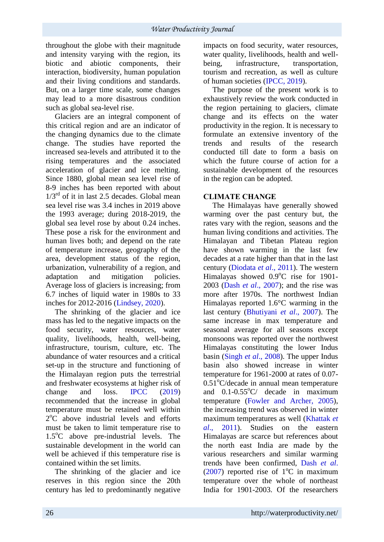throughout the globe with their magnitude and intensity varying with the region, its biotic and abiotic components, their interaction, biodiversity, human population and their living conditions and standards. But, on a larger time scale, some changes may lead to a more disastrous condition such as global sea-level rise.

Glaciers are an integral component of this critical region and are an indicator of the changing dynamics due to the climate change. The studies have reported the increased sea-levels and attributed it to the rising temperatures and the associated acceleration of glacier and ice melting. Since 1880, global mean sea level rise of 8-9 inches has been reported with about  $1/3<sup>rd</sup>$  of it in last 2.5 decades. Global mean sea level rise was 3.4 inches in 2019 above the 1993 average; during 2018-2019, the global sea level rose by about 0.24 inches. These pose a risk for the environment and human lives both; and depend on the rate of temperature increase, geography of the area, development status of the region, urbanization, vulnerability of a region, and adaptation and mitigation policies. Average loss of glaciers is increasing; from 6.7 inches of liquid water in 1980s to 33 inches for 2012-2016 (Lindsey, 2020).

The shrinking of the glacier and ice mass has led to the negative impacts on the food security, water resources, water quality, livelihoods, health, well-being, infrastructure, tourism, culture, etc. The abundance of water resources and a critical set-up in the structure and functioning of the Himalayan region puts the terrestrial and freshwater ecosystems at higher risk of change and loss. IPCC (2019) recommended that the increase in global temperature must be retained well within  $2^{\circ}$ C above industrial levels and efforts must be taken to limit temperature rise to  $1.5^{\circ}$ C above pre-industrial levels. The sustainable development in the world can well be achieved if this temperature rise is contained within the set limits.

The shrinking of the glacier and ice reserves in this region since the 20th century has led to predominantly negative

impacts on food security, water resources, water quality, livelihoods, health and wellbeing, infrastructure, transportation, tourism and recreation, as well as culture of human societies (IPCC, 2019).

The purpose of the present work is to exhaustively review the work conducted in the region pertaining to glaciers, climate change and its effects on the water productivity in the region. It is necessary to formulate an extensive inventory of the trends and results of the research conducted till date to form a basis on which the future course of action for a sustainable development of the resources in the region can be adopted.

### **CLIMATE CHANGE**

The Himalayas have generally showed warming over the past century but, the rates vary with the region, seasons and the human living conditions and activities. The Himalayan and Tibetan Plateau region have shown warming in the last few decades at a rate higher than that in the last century (Diodata *et al*., 2011). The western Himalayas showed  $0.9^{\circ}$ C rise for 1901-2003 (Dash *et al*., 2007); and the rise was more after 1970s. The northwest Indian Himalayas reported 1.6°C warming in the last century (Bhutiyani *et al*., 2007). The same increase in max temperature and seasonal average for all seasons except monsoons was reported over the northwest Himalayas constituting the lower Indus basin (Singh *et al*., 2008). The upper Indus basin also showed increase in winter temperature for 1961-2000 at rates of 0.07-  $0.51^{\circ}$ C/decade in annual mean temperature and  $0.1$ - $0.55^{\circ}$ C/ decade in maximum temperature (Fowler and Archer, 2005), the increasing trend was observed in winter maximum temperatures as well (Khattak *et al*., 2011). Studies on the eastern Himalayas are scarce but references about the north east India are made by the various researchers and similar warming trends have been confirmed, Dash *et al*. (2007) reported rise of  $1^{\circ}$ C in maximum temperature over the whole of northeast India for 1901-2003. Of the researchers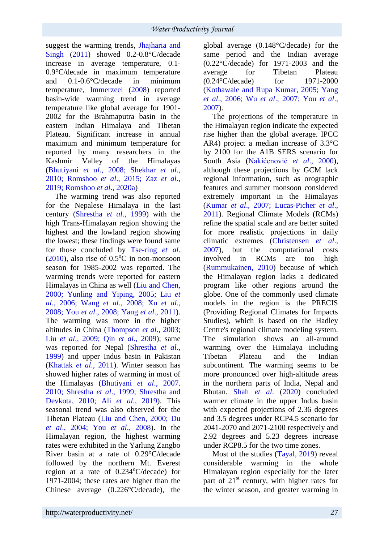suggest the warming trends, Jhajharia and Singh (2011) showed 0.2-0.8°C/decade increase in average temperature, 0.1-  $0.9^{\circ}$ C/decade in maximum temperature<br>and  $0.1$ - $0.6^{\circ}$ C/decade in minimum and  $0.1 - 0.6$ °C/decade in temperature, Immerzeel (2008) reported basin-wide warming trend in average temperature like global average for 1901- 2002 for the Brahmaputra basin in the eastern Indian Himalaya and Tibetan Plateau. Significant increase in annual maximum and minimum temperature for reported by many researchers in the Kashmir Valley of the Himalayas (Bhutiyani *et al*., 2008; Shekhar *et al*., 2010; Romshoo *et al*., 2015; Zaz *et al*., 2019; Romshoo *et al*., 2020a)

The warming trend was also reported for the Nepalese Himalaya in the last century (Shrestha *et al*., 1999) with the high Trans-Himalayan region showing the highest and the lowland region showing the lowest; these findings were found same for those concluded by Tse-ring *et al*.  $(2010)$ , also rise of  $0.5^{\circ}$ C in non-monsoon season for 1985-2002 was reported. The warming trends were reported for eastern Himalayas in China as well (Liu and Chen, 2000; Yunling and Yiping, 2005; Liu *et al*., 2006; Wang *et al*., 2008; Xu *et al*., 2008; You *et al*., 2008; Yang *et al*., 2011). The warming was more in the higher altitudes in China (Thompson *et al*., 2003; Liu *et al*., 2009; Qin *et al*., 2009); same was reported for Nepal (Shrestha *et al*., 1999) and upper Indus basin in Pakistan (Khattak *et al*., 2011). Winter season has showed higher rates of warming in most of the Himalayas (Bhutiyani *et al*., 2007. 2010; Shrestha *et al*., 1999; Shrestha and Devkota, 2010; Ali *et al*., 2019). This seasonal trend was also observed for the Tibetan Plateau (Liu and Chen, 2000; Du *et al*., 2004; You *et al*., 2008). In the Himalayan region, the highest warming rates were exhibited in the Yarlung Zangbo River basin at a rate of 0.29°C/decade followed by the northern Mt. Everest region at a rate of  $0.234^{\circ}$ C/decade) for 1971-2004; these rates are higher than the Chinese average (0.226°C/decade), the global average (0.148°C/decade) for the same period and the Indian average (0.22°C/decade) for 1971-2003 and the average for Tibetan Plateau<br>  $(0.24^{\circ} \text{C/decade})$  for 1971-2000  $(0.24\degree\text{C}/\text{decade})$  for (Kothawale and Rupa Kumar, 2005; Yang *et al*., 2006; Wu *et al*., 2007; You *et al*., 2007).

The projections of the temperature in the Himalayan region indicate the expected rise higher than the global average. IPCC AR4) project a median increase of 3.3°C by 2100 for the A1B SERS scenario for South Asia (Nakićenović *et al*., 2000), although these projections by GCM lack regional information, such as orographic features and summer monsoon considered extremely important in the Himalayas (Kumar *et al*., 2007; Lucas-Picher *et al*., 2011). Regional Climate Models (RCMs) refine the spatial scale and are better suited for more realistic projections in daily climatic extremes (Christensen *et al*., 2007), but the computational costs involved in RCMs are too high (Rummukainen, 2010) because of which the Himalayan region lacks a dedicated program like other regions around the globe. One of the commonly used climate models in the region is the PRECIS (Providing Regional Climates for Impacts Studies), which is based on the Hadley Centre's regional climate modeling system. The simulation shows an all-around warming over the Himalaya including Tibetan Plateau and the Indian subcontinent. The warming seems to be more pronounced over high-altitude areas in the northern parts of India, Nepal and Bhutan. Shah *et al*. (2020) concluded warmer climate in the upper Indus basin with expected projections of 2.36 degrees and 3.5 degrees under RCP4.5 scenario for 2041-2070 and 2071-2100 respectively and 2.92 degrees and 5.23 degrees increase under RCP8.5 for the two time zones.

Most of the studies (Tayal, 2019) reveal considerable warming in the whole Himalayan region especially for the later part of  $21<sup>st</sup>$  century, with higher rates for the winter season, and greater warming in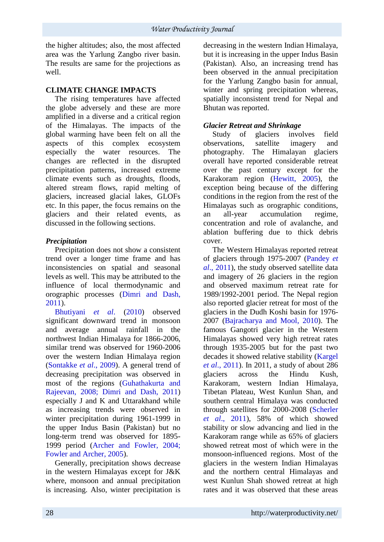the higher altitudes; also, the most affected area was the Yarlung Zangbo river basin. The results are same for the projections as well.

## **CLIMATE CHANGE IMPACTS**

The rising temperatures have affected the globe adversely and these are more amplified in a diverse and a critical region of the Himalayas. The impacts of the global warming have been felt on all the aspects of this complex ecosystem especially the water resources. The changes are reflected in the disrupted precipitation patterns, increased extreme climate events such as droughts, floods, altered stream flows, rapid melting of glaciers, increased glacial lakes, GLOFs etc. In this paper, the focus remains on the glaciers and their related events, as discussed in the following sections.

# *Precipitation*

Precipitation does not show a consistent trend over a longer time frame and has inconsistencies on spatial and seasonal levels as well. This may be attributed to the influence of local thermodynamic and orographic processes (Dimri and Dash, 2011).

Bhutiyani *et al*. (2010) observed significant downward trend in monsoon and average annual rainfall in the northwest Indian Himalaya for 1866-2006, similar trend was observed for 1960-2006 over the western Indian Himalaya region (Sontakke *et al*., 2009). A general trend of decreasing precipitation was observed in most of the regions (Guhathakurta and Rajeevan, 2008; Dimri and Dash, 2011) especially J and K and Uttarakhand while as increasing trends were observed in winter precipitation during 1961-1999 in the upper Indus Basin (Pakistan) but no long-term trend was observed for 1895- 1999 period (Archer and Fowler, 2004; Fowler and Archer, 2005).

Generally, precipitation shows decrease in the western Himalayas except for J&K where, monsoon and annual precipitation is increasing. Also, winter precipitation is decreasing in the western Indian Himalaya, but it is increasing in the upper Indus Basin (Pakistan). Also, an increasing trend has been observed in the annual precipitation for the Yarlung Zangbo basin for annual, winter and spring precipitation whereas, spatially inconsistent trend for Nepal and Bhutan was reported.

## *Glacier Retreat and Shrinkage*

Study of glaciers involves field observations, satellite imagery and photography. The Himalayan glaciers overall have reported considerable retreat over the past century except for the Karakoram region (Hewitt, 2005), the exception being because of the differing conditions in the region from the rest of the Himalayas such as orographic conditions, an all-year accumulation regime, concentration and role of avalanche, and ablation buffering due to thick debris cover.

The Western Himalayas reported retreat of glaciers through 1975-2007 (Pandey *et al*., 2011), the study observed satellite data and imagery of 26 glaciers in the region and observed maximum retreat rate for 1989/1992-2001 period. The Nepal region also reported glacier retreat for most of the glaciers in the Dudh Koshi basin for 1976- 2007 (Bajracharya and Mool, 2010). The famous Gangotri glacier in the Western Himalayas showed very high retreat rates through 1935-2005 but for the past two decades it showed relative stability (Kargel *et al*., 2011). In 2011, a study of about 286 glaciers across the Hindu Kush, Karakoram, western Indian Himalaya, Tibetan Plateau, West Kunlun Shan, and southern central Himalaya was conducted through satellites for 2000-2008 (Scherler *et al*., 2011), 58% of which showed stability or slow advancing and lied in the Karakoram range while as 65% of glaciers showed retreat most of which were in the monsoon-influenced regions. Most of the glaciers in the western Indian Himalayas and the northern central Himalayas and west Kunlun Shah showed retreat at high rates and it was observed that these areas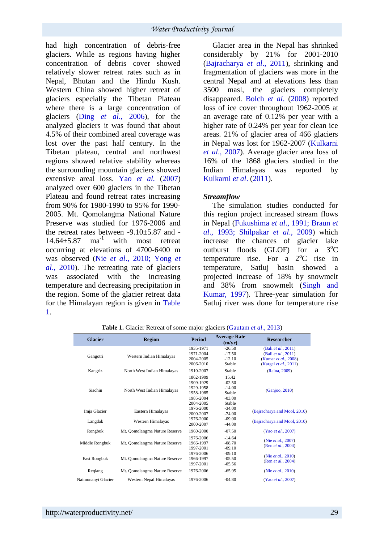had high concentration of debris-free glaciers. While as regions having higher concentration of debris cover showed relatively slower retreat rates such as in Nepal, Bhutan and the Hindu Kush. Western China showed higher retreat of glaciers especially the Tibetan Plateau where there is a large concentration of glaciers (Ding *et al*., 2006), for the analyzed glaciers it was found that about 4.5% of their combined areal coverage was lost over the past half century. In the Tibetan plateau, central and northwest regions showed relative stability whereas the surrounding mountain glaciers showed extensive areal loss. Yao *et al.* (2007) analyzed over 600 glaciers in the Tibetan Plateau and found retreat rates increasing from 90% for 1980-1990 to 95% for 1990- 2005. Mt. Qomolangma National Nature Preserve was studied for 1976-2006 and the retreat rates between -9.10±5.87 and -  $14.64 \pm 5.87$  ma<sup>-1</sup> with most retreat occurring at elevations of 4700-6400 m was observed (Nie *et al*., 2010; Yong *et al*., 2010). The retreating rate of glaciers was associated with the increasing temperature and decreasing precipitation in the region. Some of the glacier retreat data for the Himalayan region is given in Table 1.

Glacier area in the Nepal has shrinked considerably by 21% for 2001-2010 (Bajracharya *et al*., 2011), shrinking and fragmentation of glaciers was more in the central Nepal and at elevations less than 3500 masl, the glaciers completely disappeared. Bolch *et al*. (2008) reported loss of ice cover throughout 1962-2005 at an average rate of 0.12% per year with a higher rate of 0.24% per year for clean ice areas. 21% of glacier area of 466 glaciers in Nepal was lost for 1962-2007 (Kulkarni *et al*., 2007). Average glacier area loss of 16% of the 1868 glaciers studied in the Indian Himalayas was reported by Kulkarni *et al*. (2011).

#### *Streamflow*

The simulation studies conducted for this region project increased stream flows in Nepal (Fukushima *et al*., 1991; Braun *et al*., 1993; Shilpakar *et al*., 2009) which increase the chances of glacier lake outburst floods (GLOF) for a  $3^{\circ}$ C temperature rise. For a  $2^{\circ}$ C rise in temperature, Satluj basin showed a projected increase of 18% by snowmelt and 38% from snowmelt (Singh and Kumar, 1997). Three-year simulation for Satluj river was done for temperature rise

| <b>Glacier</b>     | <b>Region</b>                 | <b>Period</b> | <b>Average Rate</b><br>(m/yr) | <b>Researcher</b>                        |
|--------------------|-------------------------------|---------------|-------------------------------|------------------------------------------|
| Gangotri           | Western Indian Himalayas      | 1935-1971     | $-26.50$                      | (Bali et al., 2011)                      |
|                    |                               | 1971-2004     | $-17.50$                      | (Bali et al., 2011)                      |
|                    |                               | 2004-2005     | $-12.10$                      | (Kumar et al., 2008)                     |
|                    |                               | 2006-2010     | Stable                        | (Kargel <i>et al.</i> , 2011)            |
| Kangriz            | North West Indian Himalayas   | 1910-2007     | Stable                        | (Raina, 2009)                            |
| <b>Siachin</b>     | North West Indian Himalayas   | 1862-1909     | 15.42                         | (Ganjoo, 2010)                           |
|                    |                               | 1909-1929     | $-02.50$                      |                                          |
|                    |                               | 1929-1958     | $-14.00$                      |                                          |
|                    |                               | 1958-1985     | Stable                        |                                          |
|                    |                               | 1985-2004     | $-03.00$                      |                                          |
|                    |                               | 2004-2005     | Stable                        |                                          |
| Imja Glacier       | Eastern Himalayas             | 1976-2000     | $-34.00$                      | (Bajracharya and Mool, 2010)             |
|                    |                               | 2000-2007     | $-74.00$                      |                                          |
| Langdak            | <b>Western Himalayas</b>      | 1976-2000     | $-09.00$                      | (Bajracharya and Mool, 2010)             |
|                    |                               | 2000-2007     | $-44.00$                      |                                          |
| Rongbuk            | Mt. Qomolangma Nature Reserve | 1960-2000     | $-07.50$                      | (Yao et al., 2007)                       |
| Middle Rongbuk     | Mt. Qomolangma Nature Reserve | 1976-2006     | $-14.64$                      | (Nie et al., 2007)<br>(Ren et al., 2004) |
|                    |                               | 1966-1997     | $-08.70$                      |                                          |
|                    |                               | 1997-2001     | $-09.10$                      |                                          |
| East Rongbuk       | Mt. Qomolangma Nature Reserve | 1976-2006     | $-09.10$                      | (Nie et al., 2010)<br>(Ren et al., 2004) |
|                    |                               | 1966-1997     | $-05.50$                      |                                          |
|                    |                               | 1997-2001     | $-05.56$                      |                                          |
| Regiang            | Mt. Qomolangma Nature Reserve | 1976-2006     | $-65.95$                      | (Nie et al., 2010)                       |
| Naimonanyi Glacier | Western Nepal Himalayas       | 1976-2006     | $-04.80$                      | (Yao et al., 2007)                       |

**Table 1.** Glacier Retreat of some major glaciers (Gautam *et al*., 2013)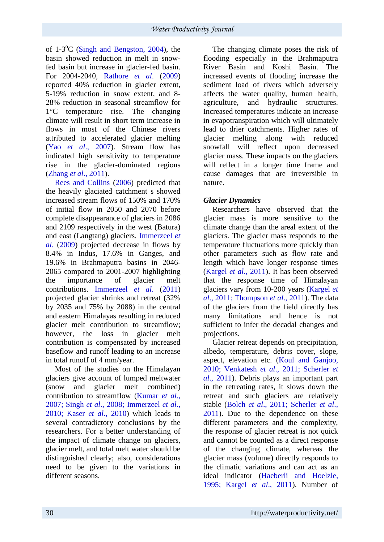of 1-3<sup>o</sup>C (Singh and Bengston, 2004), the basin showed reduction in melt in snowfed basin but increase in glacier-fed basin. For 2004-2040, Rathore *et al*. (2009) reported 40% reduction in glacier extent, 5-19% reduction in snow extent, and 8- 28% reduction in seasonal streamflow for 1°C temperature rise. The changing climate will result in short term increase in flows in most of the Chinese rivers attributed to accelerated glacier melting (Yao *et al*., 2007). Stream flow has indicated high sensitivity to temperature rise in the glacier-dominated regions (Zhang *et al*., 2011).

Rees and Collins (2006) predicted that the heavily glaciated catchment s showed increased stream flows of 150% and 170% of initial flow in 2050 and 2070 before complete disappearance of glaciers in 2086 and 2109 respectively in the west (Batura) and east (Langtang) glaciers. Immerzeel *et al*. (2009) projected decrease in flows by 8.4% in Indus, 17.6% in Ganges, and 19.6% in Brahmaputra basins in 2046- 2065 compared to 2001-2007 highlighting the importance of glacier melt contributions. Immerzeel *et al*. (2011) projected glacier shrinks and retreat (32% by 2035 and 75% by 2088) in the central and eastern Himalayas resulting in reduced glacier melt contribution to streamflow; however, the loss in glacier melt contribution is compensated by increased baseflow and runoff leading to an increase in total runoff of 4 mm/year.

Most of the studies on the Himalayan glaciers give account of lumped meltwater (snow and glacier melt combined) contribution to streamflow (Kumar *et al*., 2007; Singh *et al*., 2008; Immerzeel *et al*., 2010; Kaser *et al*., 2010) which leads to several contradictory conclusions by the researchers. For a better understanding of the impact of climate change on glaciers, glacier melt, and total melt water should be distinguished clearly; also, considerations need to be given to the variations in different seasons.

The changing climate poses the risk of flooding especially in the Brahmaputra River Basin and Koshi Basin. The increased events of flooding increase the sediment load of rivers which adversely affects the water quality, human health, agriculture, and hydraulic structures. Increased temperatures indicate an increase in evapotranspiration which will ultimately lead to drier catchments. Higher rates of glacier melting along with reduced snowfall will reflect upon decreased glacier mass. These impacts on the glaciers will reflect in a longer time frame and cause damages that are irreversible in nature.

# *Glacier Dynamics*

Researchers have observed that the glacier mass is more sensitive to the climate change than the areal extent of the glaciers. The glacier mass responds to the temperature fluctuations more quickly than other parameters such as flow rate and length which have longer response times (Kargel *et al*., 2011). It has been observed that the response time of Himalayan glaciers vary from 10-200 years (Kargel *et al*., 2011; Thompson *et al*., 2011). The data of the glaciers from the field directly has many limitations and hence is not sufficient to infer the decadal changes and projections.

Glacier retreat depends on precipitation, albedo, temperature, debris cover, slope, aspect, elevation etc. (Koul and Ganjoo, 2010; Venkatesh *et al*., 2011; Scherler *et al*., 2011). Debris plays an important part in the retreating rates, it slows down the retreat and such glaciers are relatively stable (Bolch *et al*., 2011; Scherler *et al*., 2011). Due to the dependence on these different parameters and the complexity, the response of glacier retreat is not quick and cannot be counted as a direct response of the changing climate, whereas the glacier mass (volume) directly responds to the climatic variations and can act as an ideal indicator (Haeberli and Hoelzle, 1995; Kargel *et al*., 2011). Number of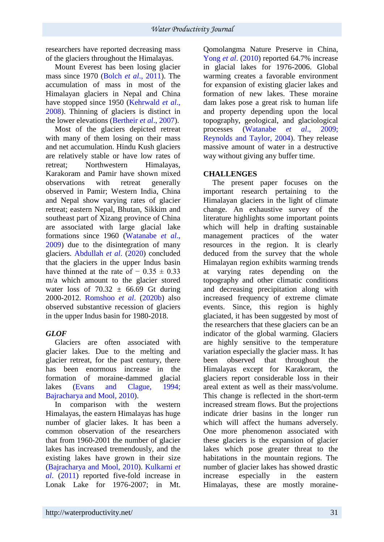researchers have reported decreasing mass of the glaciers throughout the Himalayas.

Mount Everest has been losing glacier mass since 1970 (Bolch *et al*., 2011). The accumulation of mass in most of the Himalayan glaciers in Nepal and China have stopped since 1950 (Kehrwald *et al*., 2008). Thinning of glaciers is distinct in the lower elevations (Bertheir *et al*., 2007).

Most of the glaciers depicted retreat with many of them losing on their mass and net accumulation. Hindu Kush glaciers are relatively stable or have low rates of retreat; Northwestern Himalayas, Karakoram and Pamir have shown mixed observations with retreat generally observed in Pamir; Western India, China and Nepal show varying rates of glacier retreat; eastern Nepal, Bhutan, Sikkim and southeast part of Xizang province of China are associated with large glacial lake formations since 1960 (Watanabe *et al*., 2009) due to the disintegration of many glaciers. Abdullah *et al*. (2020) concluded that the glaciers in the upper Indus basin have thinned at the rate of  $-0.35 \pm 0.33$ m/a which amount to the glacier stored water loss of  $70.32 \pm 66.69$  Gt during 2000-2012. Romshoo *et al*. (2020b) also observed substantive recession of glaciers in the upper Indus basin for 1980-2018.

# *GLOF*

Glaciers are often associated with glacier lakes. Due to the melting and glacier retreat, for the past century, there has been enormous increase in the formation of moraine-dammed glacial lakes (Evans and Clague, 1994; Bajracharya and Mool, 2010).

In comparison with the western Himalayas, the eastern Himalayas has huge number of glacier lakes. It has been a common observation of the researchers that from 1960-2001 the number of glacier lakes has increased tremendously, and the existing lakes have grown in their size (Bajracharya and Mool, 2010). Kulkarni *et al*. (2011) reported five-fold increase in Lonak Lake for 1976-2007; in Mt. Qomolangma Nature Preserve in China, Yong *et al*. (2010) reported 64.7% increase in glacial lakes for 1976-2006. Global warming creates a favorable environment for expansion of existing glacier lakes and formation of new lakes. These moraine dam lakes pose a great risk to human life and property depending upon the local topography, geological, and glaciological processes (Watanabe *et al*., 2009; Reynolds and Taylor, 2004). They release massive amount of water in a destructive way without giving any buffer time.

# **CHALLENGES**

The present paper focuses on the important research pertaining to the Himalayan glaciers in the light of climate change. An exhaustive survey of the literature highlights some important points which will help in drafting sustainable management practices of the water resources in the region. It is clearly deduced from the survey that the whole Himalayan region exhibits warming trends at varying rates depending on the topography and other climatic conditions and decreasing precipitation along with increased frequency of extreme climate events. Since, this region is highly glaciated, it has been suggested by most of the researchers that these glaciers can be an indicator of the global warming. Glaciers are highly sensitive to the temperature variation especially the glacier mass. It has been observed that throughout the Himalayas except for Karakoram, the glaciers report considerable loss in their areal extent as well as their mass/volume. This change is reflected in the short-term increased stream flows. But the projections indicate drier basins in the longer run which will affect the humans adversely. One more phenomenon associated with these glaciers is the expansion of glacier lakes which pose greater threat to the habitations in the mountain regions. The number of glacier lakes has showed drastic increase especially in the eastern Himalayas, these are mostly moraine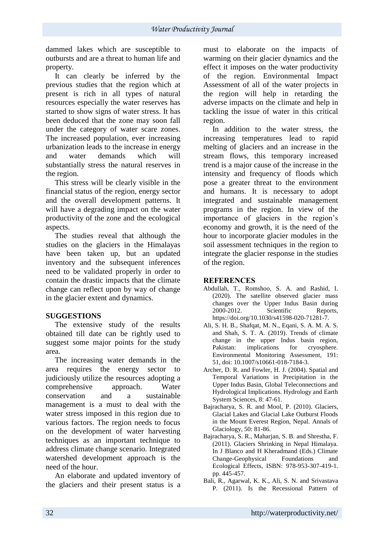dammed lakes which are susceptible to outbursts and are a threat to human life and property.

It can clearly be inferred by the previous studies that the region which at present is rich in all types of natural resources especially the water reserves has started to show signs of water stress. It has been deduced that the zone may soon fall under the category of water scare zones. The increased population, ever increasing urbanization leads to the increase in energy and water demands which will substantially stress the natural reserves in the region.

This stress will be clearly visible in the financial status of the region, energy sector and the overall development patterns. It will have a degrading impact on the water productivity of the zone and the ecological aspects.

The studies reveal that although the studies on the glaciers in the Himalayas have been taken up, but an updated inventory and the subsequent inferences need to be validated properly in order to contain the drastic impacts that the climate change can reflect upon by way of change in the glacier extent and dynamics.

### **SUGGESTIONS**

The extensive study of the results obtained till date can be rightly used to suggest some major points for the study area.

The increasing water demands in the area requires the energy sector to judiciously utilize the resources adopting a comprehensive approach. Water conservation and a sustainable management is a must to deal with the water stress imposed in this region due to various factors. The region needs to focus on the development of water harvesting techniques as an important technique to address climate change scenario. Integrated watershed development approach is the need of the hour.

An elaborate and updated inventory of the glaciers and their present status is a must to elaborate on the impacts of warming on their glacier dynamics and the effect it imposes on the water productivity of the region. Environmental Impact Assessment of all of the water projects in the region will help in retarding the adverse impacts on the climate and help in tackling the issue of water in this critical region.

In addition to the water stress, the increasing temperatures lead to rapid melting of glaciers and an increase in the stream flows, this temporary increased trend is a major cause of the increase in the intensity and frequency of floods which pose a greater threat to the environment and humans. It is necessary to adopt integrated and sustainable management programs in the region. In view of the importance of glaciers in the region's economy and growth, it is the need of the hour to incorporate glacier modules in the soil assessment techniques in the region to integrate the glacier response in the studies of the region.

### **REFERENCES**

- Abdullah, T., Romshoo, S. A. and Rashid, I. (2020). The satellite observed glacier mass changes over the Upper Indus Basin during 2000-2012. Scientific Reports, https://doi.org/10.1030/s41598-020-71281-7.
- Ali, S. H. B., Shafqat, M. N., Eqani, S. A. M. A. S. and Shah, S. T. A. (2019). Trends of climate change in the upper Indus basin region, Pakistan: implications for cryosphere. Environmental Monitoring Assessment, 191: 51, doi: 10.1007/s10661-018-7184-3.
- Archer, D. R. and Fowler, H. J. (2004). Spatial and Temporal Variations in Precipitation in the Upper Indus Basin, Global Teleconnections and Hydrological Implications. Hydrology and Earth System Sciences, 8: 47-61.
- Bajracharya, S. R. and Mool, P. (2010). Glaciers, Glacial Lakes and Glacial Lake Outburst Floods in the Mount Everest Region, Nepal. Annals of Glaciology, 50: 81-86.
- Bajracharya, S. R., Maharjan, S. B. and Shrestha, F. (2011). Glaciers Shrinking in Nepal Himalaya. In J Blanco and H Kheradmand (Eds.) Climate Change-Geophysical Foundations and Ecological Effects, ISBN: 978-953-307-419-1. pp. 445-457.
- Bali, R., Agarwal, K. K., Ali, S. N. and Srivastava P. (2011). Is the Recessional Pattern of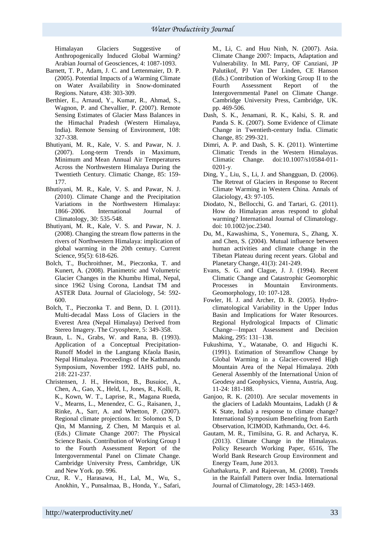Himalayan Glaciers Suggestive of Anthropogenically Induced Global Warming? Arabian Journal of Geosciences, 4: 1087-1093.

- Barnett, T. P., Adam, J. C. and Lettenmaier, D. P. (2005). Potential Impacts of a Warming Climate on Water Availability in Snow-dominated Regions. Nature, 438: 303-309.
- Berthier, E., Arnaud, Y., Kumar, R., Ahmad, S., Wagnon, P. and Chevallier, P. (2007). Remote Sensing Estimates of Glacier Mass Balances in the Himachal Pradesh (Western Himalaya, India). Remote Sensing of Environment, 108: 327-338.
- Bhutiyani, M. R., Kale, V. S. and Pawar, N. J. (2007). Long-term Trends in Maximum, Minimum and Mean Annual Air Temperatures Across the Northwestern Himalaya During the Twentieth Century. Climatic Change, 85: 159- 177.
- Bhutiyani, M. R., Kale, V. S. and Pawar, N. J. (2010). Climate Change and the Precipitation Variations in the Northwestern Himalaya: 1866–2006. International Journal of Climatology, 30: 535-548.
- Bhutiyani, M. R., Kale, V. S. and Pawar, N. J. (2008). Changing the stream flow patterns in the rivers of Northwestern Himalaya: implication of global warming in the 20th century. Current Science, 95(5): 618-626.
- Bolch, T., Buchroithner, M., Pieczonka, T. and Kunert, A. (2008). Planimetric and Volumetric Glacier Changes in the Khumbu Himal, Nepal, since 1962 Using Corona, Landsat TM and ASTER Data. Journal of Glaciology, 54: 592- 600.
- Bolch, T., Pieczonka T. and Benn, D. I. (2011). Multi-decadal Mass Loss of Glaciers in the Everest Area (Nepal Himalaya) Derived from Stereo Imagery. The Cryosphere, 5: 349-358.
- Braun, L. N., Grabs, W. and Rana, B. (1993). Application of a Conceptual Precipitation-Runoff Model in the Langtang Kfaola Basin, Nepal Himalaya. Proceedings of the Kathmandu Symposium, November 1992. IAHS publ, no. 218: 221-237.
- Christensen, J. H., Hewitson, B., Busuioc, A., Chen, A., Gao, X., Held, I., Jones, R., Kolli, R. K., Kown, W. T., Laprise, R., Magana Rueda, V., Mearns, L., Menendez, C. G., Raisanen, J., Rinke, A., Sarr, A. and Whetton, P. (2007). Regional climate projections. In: Solomon S, D Qin, M Manning, Z Chen, M Marquis et al. (Eds.) Climate Change 2007: The Physical Science Basis. Contribution of Working Group I to the Fourth Assessment Report of the Intergovernmental Panel on Climate Change. Cambridge University Press, Cambridge, UK and New York. pp. 996.
- Cruz, R. V., Harasawa, H., Lal, M., Wu, S., Anokhin, Y., Punsalmaa, B., Honda, Y., Safari,

M., Li, C. and Huu Ninh, N. (2007). Asia. Climate Change 2007: Impacts, Adaptation and Vulnerability. In ML Parry, OF Canziani, JP Palutikof, PJ Van Der Linden, CE Hanson (Eds.) Contribution of Working Group II to the<br>Fourth Assessment Report of the Assessment Report of the Intergovernmental Panel on Climate Change. Cambridge University Press, Cambridge, UK. pp. 469-506.

- Dash, S. K., Jenamani, R. K., Kalsi, S. R. and Panda S. K. (2007). Some Evidence of Climate Change in Twentieth-century India. Climatic Change, 85: 299-321.
- Dimri, A. P. and Dash, S. K. (2011). Wintertime Climatic Trends in the Western Himalayas.<br>Climatic Change. doi:10.1007/s10584-011-Change. doi:10.1007/s10584-011-0201-y.
- Ding, Y., Liu, S., Li, J. and Shangguan, D. (2006). The Retreat of Glaciers in Response to Recent Climate Warming in Western China. Annals of Glaciology, 43: 97-105.
- Diodato, N., Bellocchi, G. and Tartari, G. (2011). How do Himalayan areas respond to global warming? International Journal of Climatology. doi: 10.1002/joc.2340.
- Du, M., Kawashima, S., Yonemura, S., Zhang, X. and Chen, S. (2004). Mutual influence between human activities and climate change in the Tibetan Plateau during recent years. Global and Planetary Change, 41(3): 241-249.
- Evans, S. G. and Clague, J. J. (1994). Recent Climatic Change and Catastrophic Geomorphic Processes in Mountain Environments. Geomorphology, 10: 107-128.
- Fowler, H. J. and Archer, D. R. (2005). Hydroclimatological Variability in the Upper Indus Basin and Implications for Water Resources. Regional Hydrological Impacts of Climatic Change—Impact Assessment and Decision Making, 295: 131–138.
- Fukushima, Y., Watanabe, O. and Higuchi K. (1991). Estimation of Streamflow Change by Global Warming in a Glacier-covered High Mountain Area of the Nepal Himalaya. 20th General Assembly of the International Union of Geodesy and Geophysics, Vienna, Austria, Aug. 11-24: 181-188.
- Ganjoo, R. K. (2010). Are secular movements in the glaciers of Ladakh Mountains, Ladakh (J & K State, India) a response to climate change? International Symposium Benefiting from Earth Observation, ICIMOD, Kathmandu, Oct. 4-6.
- Gautam, M. R., Timilsina, G. R. and Acharya, K. (2013). Climate Change in the Himalayas. Policy Research Working Paper, 6516, The World Bank Research Group Environment and Energy Team, June 2013.
- Guhathakurta, P. and Rajeevan, M. (2008). Trends in the Rainfall Pattern over India. International Journal of Climatology, 28: 1453-1469.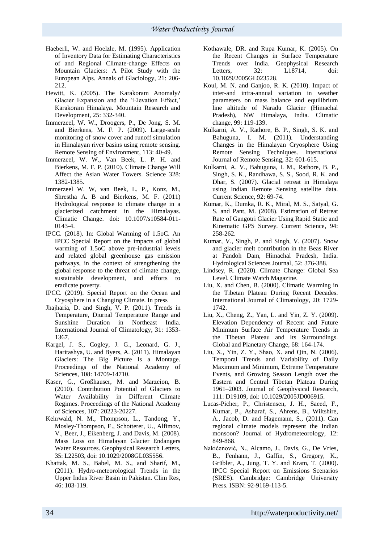- Haeberli, W. and Hoelzle, M. (1995). Application of Inventory Data for Estimating Characteristics of and Regional Climate-change Effects on Mountain Glaciers: A Pilot Study with the European Alps. Annals of Glaciology, 21: 206- 212.
- Hewitt, K. (2005). The Karakoram Anomaly? Glacier Expansion and the 'Elevation Effect,' Karakoram Himalaya. Mountain Research and Development, 25: 332-340.
- Immerzeel, W. W., Droogers, P., De Jong, S. M. and Bierkens, M. F. P. (2009). Large-scale monitoring of snow cover and runoff simulation in Himalayan river basins using remote sensing. Remote Sensing of Environment, 113: 40-49.
- Immerzeel, W. W., Van Beek, L. P. H. and Bierkens, M. F. P. (2010). Climate Change Will Affect the Asian Water Towers. Science 328: 1382-1385.
- Immerzeel W. W, van Beek, L. P., Konz, M., Shrestha A. B and Bierkens, M. F. (2011) Hydrological response to climate change in a glacierized catchment in the Himalayas. Climatic Change. doi: 10.1007/s10584-011- 0143-4.
- IPCC. (2018). In: Global Warming of 1.5oC. An IPCC Special Report on the impacts of global warming of 1.5oC above pre-industrial levels and related global greenhouse gas emission pathways, in the context of strengthening the global response to the threat of climate change, sustainable development, and efforts to eradicate poverty.
- IPCC. (2019). Special Report on the Ocean and Cryosphere in a Changing Climate. In press
- Jhajharia, D. and Singh, V. P. (2011). Trends in Temperature, Diurnal Temperature Range and Sunshine Duration in Northeast India. International Journal of Climatology, 31: 1353- 1367.
- Kargel, J. S., Cogley, J. G., Leonard, G. J., Haritashya, U. and Byers, A. (2011). Himalayan Glaciers: The Big Picture Is a Montage. Proceedings of the National Academy of Sciences, 108: 14709-14710.
- Kaser, G., Großhauser, M. and Marzeion, B. (2010). Contribution Potential of Glaciers to Water Availability in Different Climate Regimes. Proceedings of the National Academy of Sciences, 107: 20223-20227.
- Kehrwald, N. M., Thompson, L., Tandong, Y., Mosley-Thompson, E., Schotterer, U., Alfimov, V., Beer, J., Eikenberg, J. and Davis, M. (2008). Mass Loss on Himalayan Glacier Endangers Water Resources. Geophysical Research Letters, 35: L22503, doi: 10.1029/2008GL035556.
- Khattak, M. S., Babel, M. S., and Sharif, M., (2011). Hydro-meteorological Trends in the Upper Indus River Basin in Pakistan. Clim Res, 46: 103-119.
- Kothawale, DR. and Rupa Kumar, K. (2005). On the Recent Changes in Surface Temperature Trends over India. Geophysical Research Letters. 32: L18714, doi: 10.1029/2005GL023528.
- Koul, M. N. and Ganjoo, R. K. (2010). Impact of inter-and intra-annual variation in weather parameters on mass balance and equilibrium line altitude of Naradu Glacier (Himachal Pradesh), NW Himalaya, India. Climatic change, 99: 119-139.
- Kulkarni, A. V., Rathore, B. P., Singh, S. K. and Bahuguna, I. M. (2011). Understanding Changes in the Himalayan Cryosphere Using Remote Sensing Techniques. International Journal of Remote Sensing, 32: 601-615.
- Kulkarni, A. V., Bahuguna, I. M., Rathore, B. P., Singh, S. K., Randhawa, S. S., Sood, R. K. and Dhar, S. (2007). Glacial retreat in Himalaya using Indian Remote Sensing satellite data. Current Science, 92: 69-74.
- Kumar, K., Dumka, R. K., Miral, M. S., Satyal, G. S. and Pant, M. (2008). Estimation of Retreat Rate of Gangotri Glacier Using Rapid Static and Kinematic GPS Survey. Current Science, 94: 258-262.
- Kumar, V., Singh, P. and Singh, V. (2007). Snow and glacier melt contribution in the Beas River at Pandoh Dam, Himachal Pradesh, India. Hydrological Sciences Journal, 52: 376-388.
- Lindsey, R. (2020). Climate Change: Global Sea Level. Climate Watch Magazine.
- Liu, X. and Chen, B. (2000). Climatic Warming in the Tibetan Plateau During Recent Decades. International Journal of Climatology, 20: 1729- 1742.
- Liu, X., Cheng, Z., Yan, L. and Yin, Z. Y. (2009). Elevation Dependency of Recent and Future Minimum Surface Air Temperature Trends in the Tibetan Plateau and Its Surroundings. Global and Planetary Change, 68: 164-174.
- Liu, X., Yin, Z. Y., Shao, X. and Qin, N. (2006). Temporal Trends and Variability of Daily Maximum and Minimum, Extreme Temperature Events, and Growing Season Length over the Eastern and Central Tibetan Plateau During 1961–2003. Journal of Geophysical Research, 111: D19109, doi: 10.1029/2005JD006915.
- Lucas-Picher, P., Christensen, J. H., Saeed, F., Kumar, P., Asharaf, S., Ahrens, B., Wiltshire, A., Jacob, D. and Hagemann, S., (2011). Can regional climate models represent the Indian monsoon? Journal of Hydrometeorology, 12: 849-868.
- Nakićenović, N., Alcamo, J., Davis, G., De Vries, B., Fenhann, J., Gaffin, S., Gregory, K., Grübler, A., Jung, T. Y. and Kram, T. (2000). IPCC Special Report on Emissions Scenarios (SRES). Cambridge: Cambridge University Press. ISBN: 92-9169-113-5.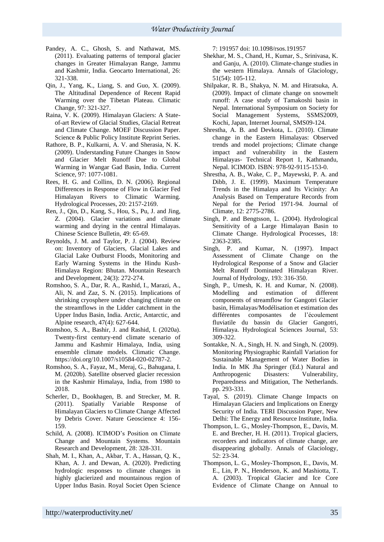- Pandey, A. C., Ghosh, S. and Nathawat, MS. (2011). Evaluating patterns of temporal glacier changes in Greater Himalayan Range, Jammu and Kashmir, India. Geocarto International, 26: 321-338.
- Qin, J., Yang, K., Liang, S. and Guo, X. (2009). The Altitudinal Dependence of Recent Rapid Warming over the Tibetan Plateau. Climatic Change, 97: 321-327.
- Raina, V. K. (2009). Himalayan Glaciers: A Stateof-art Review of Glacial Studies, Glacial Retreat and Climate Change. MOEF Discussion Paper. Science & Public Policy Institute Reprint Series.
- Rathore, B. P., Kulkarni, A. V. and Sherasia, N. K. (2009). Understanding Future Changes in Snow and Glacier Melt Runoff Due to Global Warming in Wangar Gad Basin, India. Current Science, 97: 1077-1081.
- Rees, H. G. and Collins, D. N. (2006). Regional Differences in Response of Flow in Glacier Fed Himalayan Rivers to Climatic Warming. Hydrological Processes, 20: 2157-2169.
- Ren, J., Qin, D., Kang, S., Hou, S., Pu, J. and Jing, Z. (2004). Glacier variations and climate warming and drying in the central Himalayas. Chinese Science Bulletin, 49: 65-69.
- Reynolds, J. M. and Taylor, P. J. (2004). Review on: Inventory of Glaciers, Glacial Lakes and Glacial Lake Outburst Floods, Monitoring and Early Warning Systems in the Hindu Kush-Himalaya Region: Bhutan. Mountain Research and Development, 24(3): 272-274.
- Romshoo, S. A., Dar, R. A., Rashid, I., Marazi, A., Ali, N. and Zaz, S. N. (2015). Implications of shrinking cryosphere under changing climate on the streamflows in the Lidder catchment in the Upper Indus Basin, India. Arctic, Antarctic, and Alpine research, 47(4): 627-644.
- Romshoo, S. A., Bashir, J. and Rashid, I. (2020a). Twenty-first century-end climate scenario of Jammu and Kashmir Himalaya, India, using ensemble climate models. Climatic Change. https://doi.org/10.1007/s10584-020-02787-2.
- Romshoo, S. A., Fayaz, M., Meraj, G., Bahugana, I. M. (2020b). Satellite observed glacier recession in the Kashmir Himalaya, India, from 1980 to 2018.
- Scherler, D., Bookhagen, B. and Strecker, M. R. (2011). Spatially Variable Response of Himalayan Glaciers to Climate Change Affected by Debris Cover. Nature Geoscience 4: 156- 159.
- Schild, A. (2008). ICIMOD's Position on Climate Change and Mountain Systems. Mountain Research and Development, 28: 328-331.
- Shah, M. I., Khan, A., Akbar, T. A., Hassan, Q. K., Khan, A. J. and Dewan, A. (2020). Predicting hydrologic responses to climate changes in highly glacierized and mountainous region of Upper Indus Basin. Royal Societ Open Science

7: 191957 doi: 10.1098/rsos.191957

- Shekhar, M. S., Chand, H., Kumar, S., Srinivasa, K. and Ganju, A. (2010). Climate-change studies in the western Himalaya. Annals of Glaciology, 51(54): 105-112.
- Shilpakar, R. B., Shakya, N. M. and Hiratsuka, A. (2009). Impact of climate change on snowmelt runoff: A case study of Tamakoshi basin in Nepal. International Symposium on Society for Social Management Systems, SSMS2009, Kochi, Japan, Internet Journal, SMS09-124.
- Shrestha, A. B. and Devkota, L. (2010). Climate change in the Eastern Himalayas: Observed trends and model projections; Climate change impact and vulnerability in the Eastern Himalayas- Technical Report 1, Kathmandu, Nepal. ICIMOD. ISBN: 978-92-9115-153-0.
- Shrestha, A. B., Wake, C. P., Mayewski, P. A. and Dibb, J. E. (1999). Maximum Temperature Trends in the Himalaya and Its Vicinity: An Analysis Based on Temperature Records from Nepal for the Period 1971-94. Journal of Climate, 12: 2775-2786.
- Singh, P. and Bengtsson, L. (2004). Hydrological Sensitivity of a Large Himalayan Basin to Climate Change. Hydrological Processes, 18: 2363-2385.
- Singh, P. and Kumar, N. (1997). Impact Assessment of Climate Change on the Hydrological Response of a Snow and Glacier Melt Runoff Dominated Himalayan River. Journal of Hydrology, 193: 316-350.
- Singh, P., Umesh, K. H. and Kumar, N. (2008). Modelling and estimation of different components of streamflow for Gangotri Glacier basin, Himalayas/Modélisation et estimation des différentes composantes de l'écoulement fluviatile du bassin du Glacier Gangotri, Himalaya. Hydrological Sciences Journal, 53: 309-322.
- Sontakke, N. A., Singh, H. N. and Singh, N. (2009). Monitoring Physiographic Rainfall Variation for Sustainable Management of Water Bodies in India. In MK Jha Springer (Ed.) Natural and Anthropogenic Disasters: Vulnerability, Preparedness and Mitigation, The Netherlands. pp. 293-331.
- Tayal, S. (2019). Climate Change Impacts on Himalayan Glaciers and Implications on Energy Security of India. TERI Discussion Paper, New Delhi: The Energy and Resource Institute, India.
- Thompson, L. G., Mosley-Thompson, E., Davis, M. E. and Brecher, H. H. (2011). Tropical glaciers, recorders and indicators of climate change, are disappearing globally. Annals of Glaciology, 52: 23-34.
- Thompson, L. G., Mosley-Thompson, E., Davis, M. E., Lin, P. N., Henderson, K. and Mashiotta, T. A. (2003). Tropical Glacier and Ice Core Evidence of Climate Change on Annual to